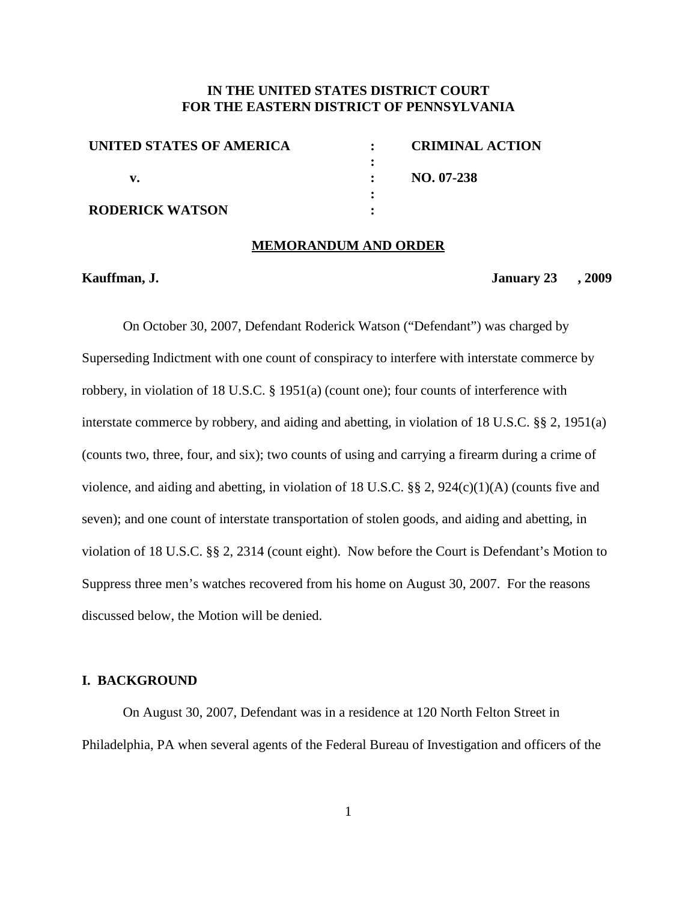# **IN THE UNITED STATES DISTRICT COURT FOR THE EASTERN DISTRICT OF PENNSYLVANIA**

| UNITED STATES OF AMERICA | <b>CRIMINAL ACTION</b> |
|--------------------------|------------------------|
|                          |                        |
|                          | $NO. 07-238$           |
|                          |                        |
| <b>RODERICK WATSON</b>   |                        |

#### **MEMORANDUM AND ORDER**

#### **Kauffman, J. January 23 , 2009**

On October 30, 2007, Defendant Roderick Watson ("Defendant") was charged by Superseding Indictment with one count of conspiracy to interfere with interstate commerce by robbery, in violation of 18 U.S.C. § 1951(a) (count one); four counts of interference with interstate commerce by robbery, and aiding and abetting, in violation of 18 U.S.C. §§ 2, 1951(a) (counts two, three, four, and six); two counts of using and carrying a firearm during a crime of violence, and aiding and abetting, in violation of 18 U.S.C. §§ 2, 924(c)(1)(A) (counts five and seven); and one count of interstate transportation of stolen goods, and aiding and abetting, in violation of 18 U.S.C. §§ 2, 2314 (count eight). Now before the Court is Defendant's Motion to Suppress three men's watches recovered from his home on August 30, 2007. For the reasons discussed below, the Motion will be denied.

#### **I. BACKGROUND**

On August 30, 2007, Defendant was in a residence at 120 North Felton Street in Philadelphia, PA when several agents of the Federal Bureau of Investigation and officers of the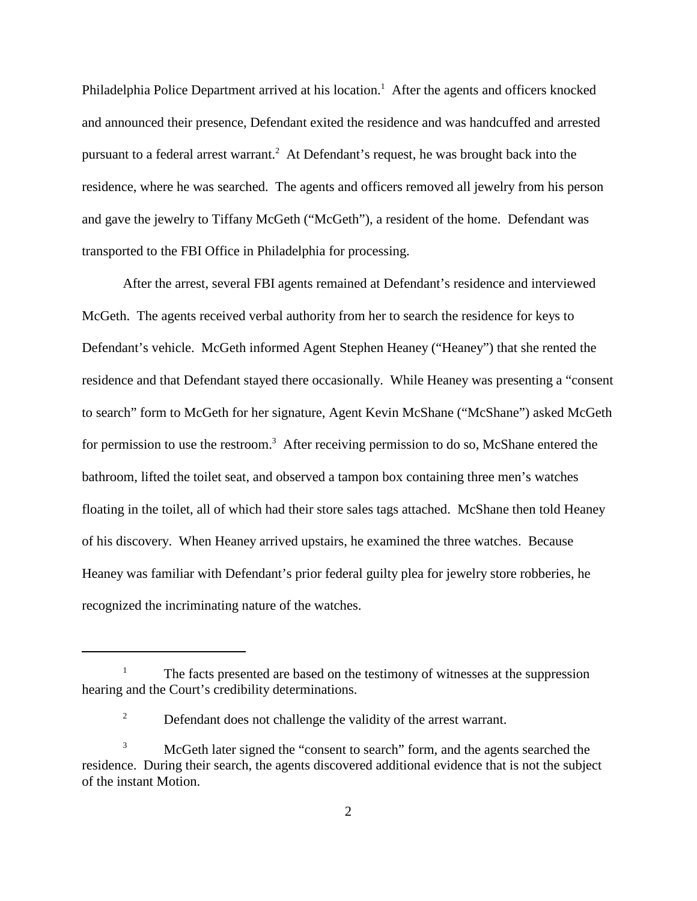Philadelphia Police Department arrived at his location.<sup>1</sup> After the agents and officers knocked and announced their presence, Defendant exited the residence and was handcuffed and arrested pursuant to a federal arrest warrant. <sup>2</sup> At Defendant's request, he was brought back into the residence, where he was searched. The agents and officers removed all jewelry from his person and gave the jewelry to Tiffany McGeth ("McGeth"), a resident of the home. Defendant was transported to the FBI Office in Philadelphia for processing.

After the arrest, several FBI agents remained at Defendant's residence and interviewed McGeth. The agents received verbal authority from her to search the residence for keys to Defendant's vehicle. McGeth informed Agent Stephen Heaney ("Heaney") that she rented the residence and that Defendant stayed there occasionally. While Heaney was presenting a "consent to search" form to McGeth for her signature, Agent Kevin McShane ("McShane") asked McGeth for permission to use the restroom.<sup>3</sup> After receiving permission to do so, McShane entered the bathroom, lifted the toilet seat, and observed a tampon box containing three men's watches floating in the toilet, all of which had their store sales tags attached. McShane then told Heaney of his discovery. When Heaney arrived upstairs, he examined the three watches. Because Heaney was familiar with Defendant's prior federal guilty plea for jewelry store robberies, he recognized the incriminating nature of the watches.

The facts presented are based on the testimony of witnesses at the suppression hearing and the Court's credibility determinations.

<sup>&</sup>lt;sup>2</sup> Defendant does not challenge the validity of the arrest warrant.

McGeth later signed the "consent to search" form, and the agents searched the residence. During their search, the agents discovered additional evidence that is not the subject of the instant Motion.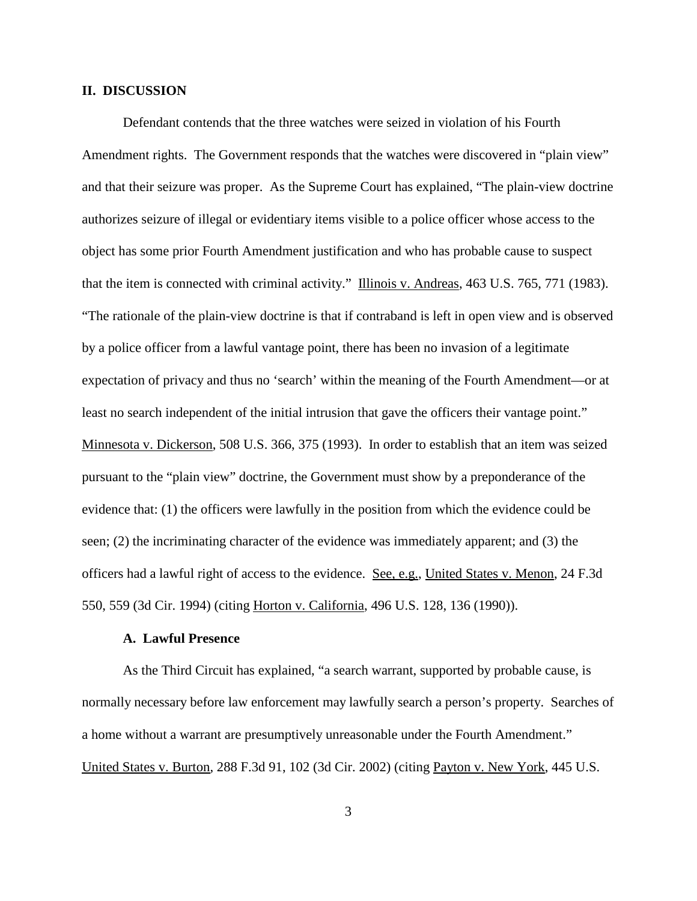#### **II. DISCUSSION**

Defendant contends that the three watches were seized in violation of his Fourth Amendment rights. The Government responds that the watches were discovered in "plain view" and that their seizure was proper. As the Supreme Court has explained, "The plain-view doctrine authorizes seizure of illegal or evidentiary items visible to a police officer whose access to the object has some prior Fourth Amendment justification and who has probable cause to suspect that the item is connected with criminal activity." Illinois v. Andreas, 463 U.S. 765, 771 (1983). "The rationale of the plain-view doctrine is that if contraband is left in open view and is observed by a police officer from a lawful vantage point, there has been no invasion of a legitimate expectation of privacy and thus no 'search' within the meaning of the Fourth Amendment—or at least no search independent of the initial intrusion that gave the officers their vantage point." Minnesota v. Dickerson, 508 U.S. 366, 375 (1993). In order to establish that an item was seized pursuant to the "plain view" doctrine, the Government must show by a preponderance of the evidence that: (1) the officers were lawfully in the position from which the evidence could be seen; (2) the incriminating character of the evidence was immediately apparent; and (3) the officers had a lawful right of access to the evidence. See, e.g., United States v. Menon, 24 F.3d 550, 559 (3d Cir. 1994) (citing Horton v. California, 496 U.S. 128, 136 (1990)).

## **A. Lawful Presence**

As the Third Circuit has explained, "a search warrant, supported by probable cause, is normally necessary before law enforcement may lawfully search a person's property. Searches of a home without a warrant are presumptively unreasonable under the Fourth Amendment." United States v. Burton, 288 F.3d 91, 102 (3d Cir. 2002) (citing Payton v. New York, 445 U.S.

3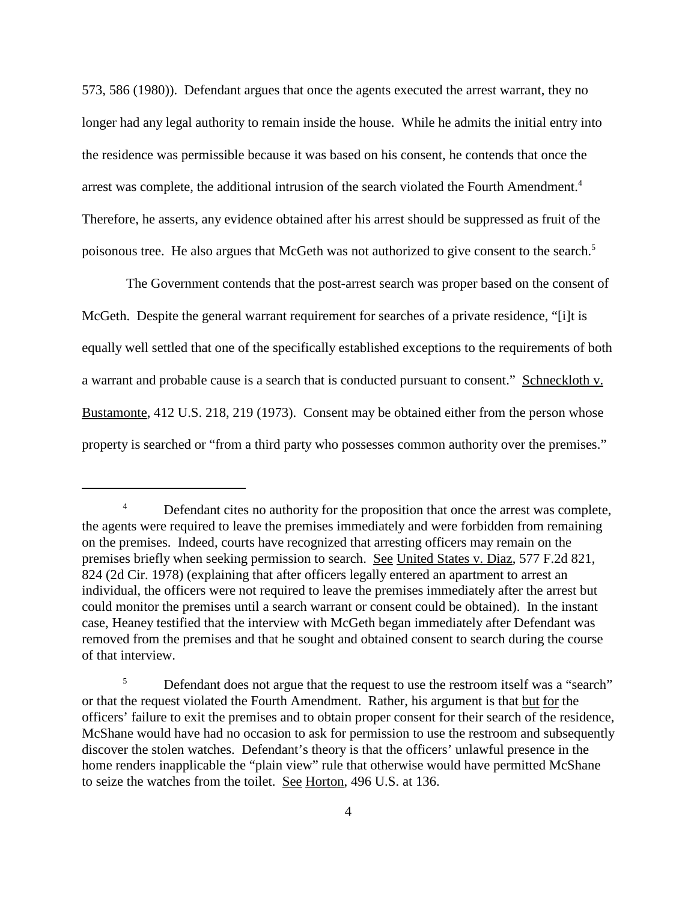573, 586 (1980)). Defendant argues that once the agents executed the arrest warrant, they no longer had any legal authority to remain inside the house. While he admits the initial entry into the residence was permissible because it was based on his consent, he contends that once the arrest was complete, the additional intrusion of the search violated the Fourth Amendment. 4 Therefore, he asserts, any evidence obtained after his arrest should be suppressed as fruit of the poisonous tree. He also argues that McGeth was not authorized to give consent to the search.<sup>5</sup>

The Government contends that the post-arrest search was proper based on the consent of McGeth. Despite the general warrant requirement for searches of a private residence, "[i]t is equally well settled that one of the specifically established exceptions to the requirements of both a warrant and probable cause is a search that is conducted pursuant to consent." Schneckloth v. Bustamonte, 412 U.S. 218, 219 (1973). Consent may be obtained either from the person whose property is searched or "from a third party who possesses common authority over the premises."

<sup>&</sup>lt;sup>4</sup> Defendant cites no authority for the proposition that once the arrest was complete, the agents were required to leave the premises immediately and were forbidden from remaining on the premises. Indeed, courts have recognized that arresting officers may remain on the premises briefly when seeking permission to search. See United States v. Diaz, 577 F.2d 821, 824 (2d Cir. 1978) (explaining that after officers legally entered an apartment to arrest an individual, the officers were not required to leave the premises immediately after the arrest but could monitor the premises until a search warrant or consent could be obtained). In the instant case, Heaney testified that the interview with McGeth began immediately after Defendant was removed from the premises and that he sought and obtained consent to search during the course of that interview.

<sup>&</sup>lt;sup>5</sup> Defendant does not argue that the request to use the restroom itself was a "search" or that the request violated the Fourth Amendment. Rather, his argument is that but for the officers' failure to exit the premises and to obtain proper consent for their search of the residence, McShane would have had no occasion to ask for permission to use the restroom and subsequently discover the stolen watches. Defendant's theory is that the officers' unlawful presence in the home renders inapplicable the "plain view" rule that otherwise would have permitted McShane to seize the watches from the toilet. See Horton, 496 U.S. at 136.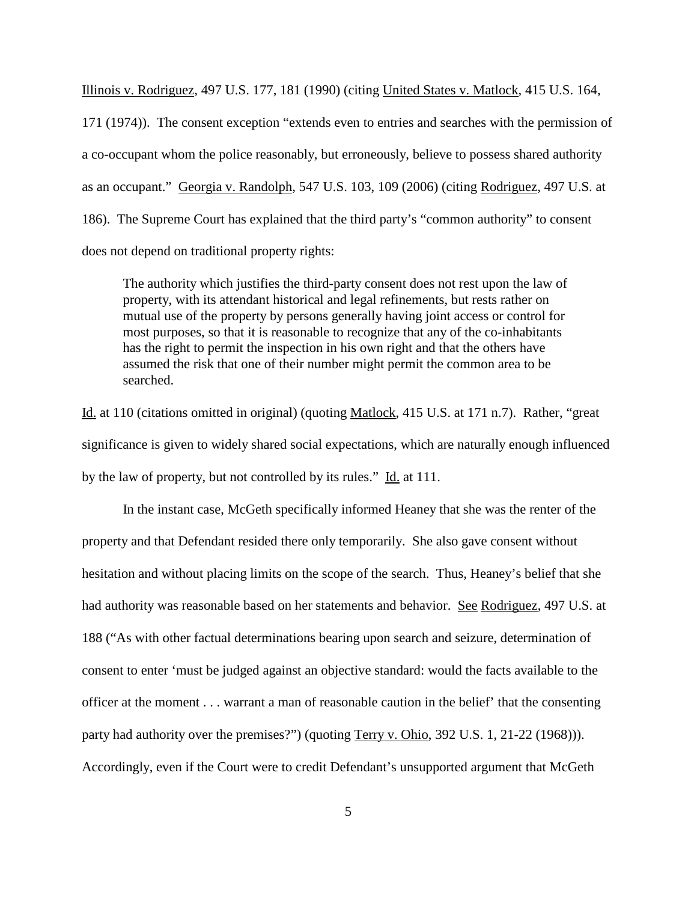Illinois v. Rodriguez, 497 U.S. 177, 181 (1990) (citing United States v. Matlock, 415 U.S. 164, 171 (1974)). The consent exception "extends even to entries and searches with the permission of a co-occupant whom the police reasonably, but erroneously, believe to possess shared authority as an occupant." Georgia v. Randolph, 547 U.S. 103, 109 (2006) (citing Rodriguez, 497 U.S. at 186). The Supreme Court has explained that the third party's "common authority" to consent does not depend on traditional property rights:

The authority which justifies the third-party consent does not rest upon the law of property, with its attendant historical and legal refinements, but rests rather on mutual use of the property by persons generally having joint access or control for most purposes, so that it is reasonable to recognize that any of the co-inhabitants has the right to permit the inspection in his own right and that the others have assumed the risk that one of their number might permit the common area to be searched.

Id. at 110 (citations omitted in original) (quoting Matlock, 415 U.S. at 171 n.7). Rather, "great significance is given to widely shared social expectations, which are naturally enough influenced by the law of property, but not controlled by its rules." Id. at 111.

In the instant case, McGeth specifically informed Heaney that she was the renter of the property and that Defendant resided there only temporarily. She also gave consent without hesitation and without placing limits on the scope of the search. Thus, Heaney's belief that she had authority was reasonable based on her statements and behavior. See Rodriguez, 497 U.S. at 188 ("As with other factual determinations bearing upon search and seizure, determination of consent to enter 'must be judged against an objective standard: would the facts available to the officer at the moment . . . warrant a man of reasonable caution in the belief' that the consenting party had authority over the premises?") (quoting Terry v. Ohio, 392 U.S. 1, 21-22 (1968))). Accordingly, even if the Court were to credit Defendant's unsupported argument that McGeth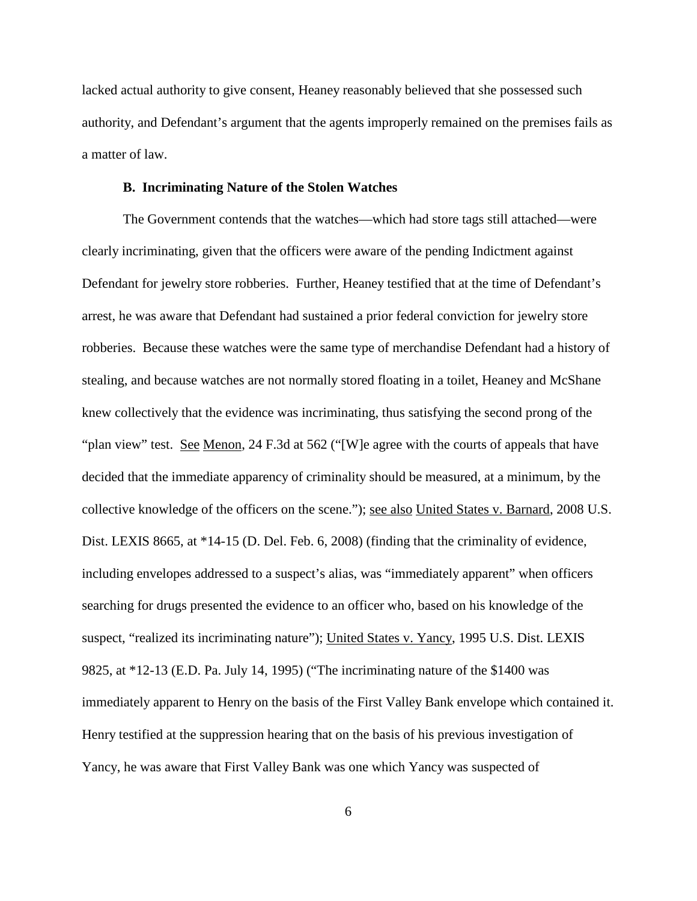lacked actual authority to give consent, Heaney reasonably believed that she possessed such authority, and Defendant's argument that the agents improperly remained on the premises fails as a matter of law.

## **B. Incriminating Nature of the Stolen Watches**

The Government contends that the watches—which had store tags still attached—were clearly incriminating, given that the officers were aware of the pending Indictment against Defendant for jewelry store robberies. Further, Heaney testified that at the time of Defendant's arrest, he was aware that Defendant had sustained a prior federal conviction for jewelry store robberies. Because these watches were the same type of merchandise Defendant had a history of stealing, and because watches are not normally stored floating in a toilet, Heaney and McShane knew collectively that the evidence was incriminating, thus satisfying the second prong of the "plan view" test. See Menon, 24 F.3d at 562 ("[W]e agree with the courts of appeals that have decided that the immediate apparency of criminality should be measured, at a minimum, by the collective knowledge of the officers on the scene."); see also United States v. Barnard, 2008 U.S. Dist. LEXIS 8665, at \*14-15 (D. Del. Feb. 6, 2008) (finding that the criminality of evidence, including envelopes addressed to a suspect's alias, was "immediately apparent" when officers searching for drugs presented the evidence to an officer who, based on his knowledge of the suspect, "realized its incriminating nature"); United States v. Yancy, 1995 U.S. Dist. LEXIS 9825, at \*12-13 (E.D. Pa. July 14, 1995) ("The incriminating nature of the \$1400 was immediately apparent to Henry on the basis of the First Valley Bank envelope which contained it. Henry testified at the suppression hearing that on the basis of his previous investigation of Yancy, he was aware that First Valley Bank was one which Yancy was suspected of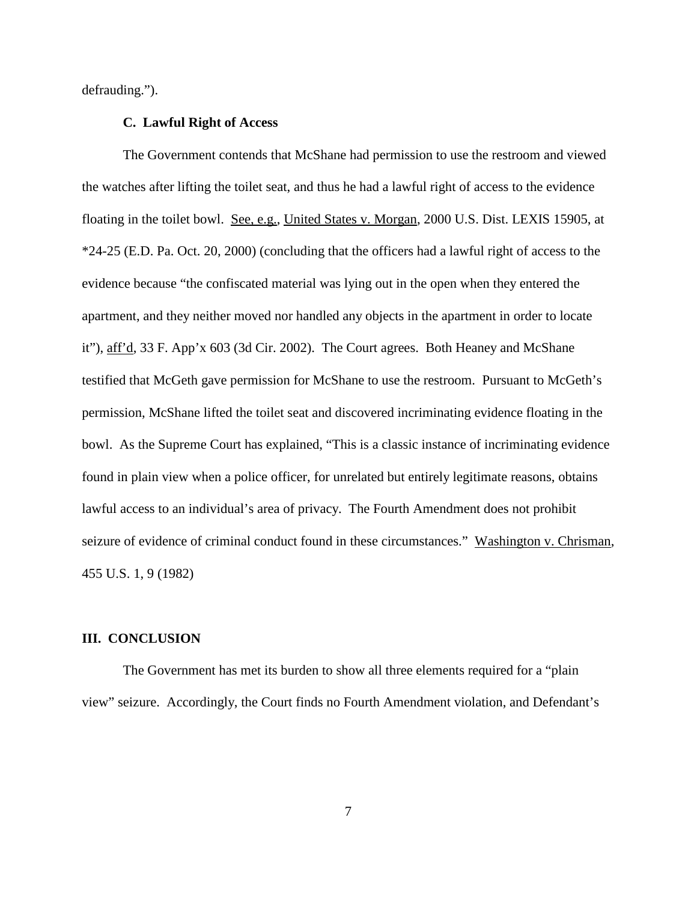defrauding.").

#### **C. Lawful Right of Access**

The Government contends that McShane had permission to use the restroom and viewed the watches after lifting the toilet seat, and thus he had a lawful right of access to the evidence floating in the toilet bowl. See, e.g., United States v. Morgan, 2000 U.S. Dist. LEXIS 15905, at \*24-25 (E.D. Pa. Oct. 20, 2000) (concluding that the officers had a lawful right of access to the evidence because "the confiscated material was lying out in the open when they entered the apartment, and they neither moved nor handled any objects in the apartment in order to locate it"), aff'd, 33 F. App'x 603 (3d Cir. 2002). The Court agrees. Both Heaney and McShane testified that McGeth gave permission for McShane to use the restroom. Pursuant to McGeth's permission, McShane lifted the toilet seat and discovered incriminating evidence floating in the bowl. As the Supreme Court has explained, "This is a classic instance of incriminating evidence found in plain view when a police officer, for unrelated but entirely legitimate reasons, obtains lawful access to an individual's area of privacy. The Fourth Amendment does not prohibit seizure of evidence of criminal conduct found in these circumstances." Washington v. Chrisman, 455 U.S. 1, 9 (1982)

## **III. CONCLUSION**

The Government has met its burden to show all three elements required for a "plain view" seizure. Accordingly, the Court finds no Fourth Amendment violation, and Defendant's

7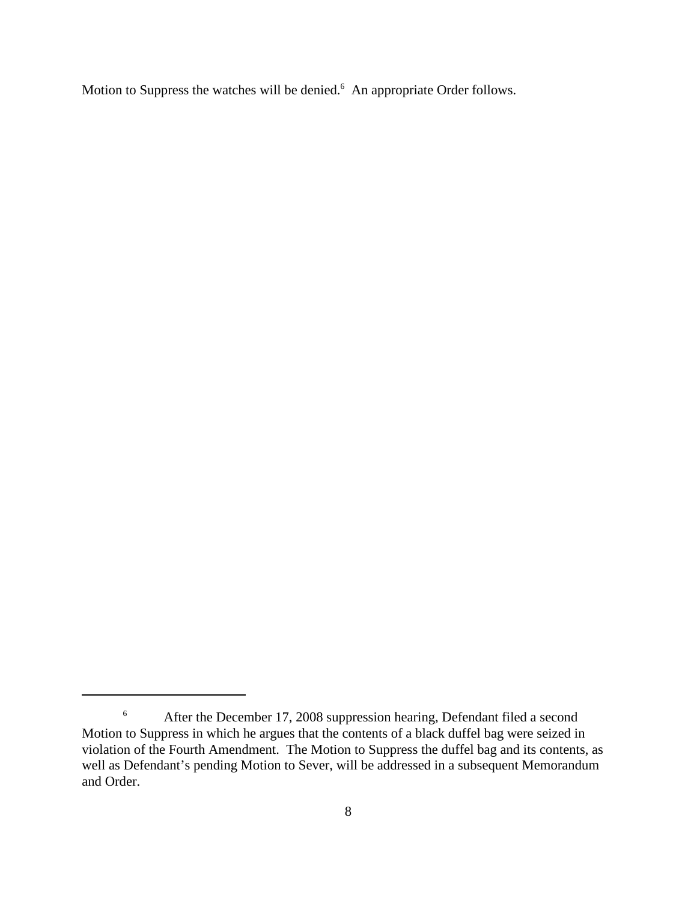Motion to Suppress the watches will be denied.<sup>6</sup> An appropriate Order follows.

<sup>&</sup>lt;sup>6</sup> After the December 17, 2008 suppression hearing, Defendant filed a second Motion to Suppress in which he argues that the contents of a black duffel bag were seized in violation of the Fourth Amendment. The Motion to Suppress the duffel bag and its contents, as well as Defendant's pending Motion to Sever, will be addressed in a subsequent Memorandum and Order.